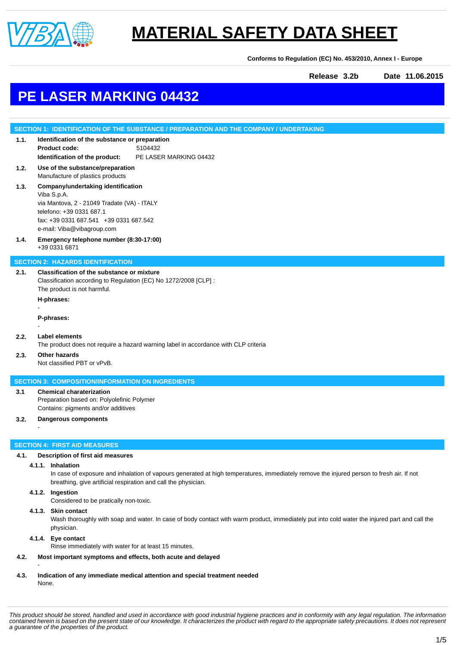

**Conforms to Regulation (EC) No. 453/2010, Annex I - Europe**

**Release 3.2b Date 11.06.2015**

## **PE LASER MARKING 04432**

### **SECTION 1: IDENTIFICATION OF THE SUBSTANCE / PREPARATION AND THE COMPANY / UNDERTAKING**

### **1.1. Identification of the substance or preparation Product code:** 5104432 **Identification of the product:** PE LASER MARKING 04432

**1.2. Use of the substance/preparation** Manufacture of plastics products

### **1.3. Company/undertaking identification** Viba S.p.A. via Mantova, 2 - 21049 Tradate (VA) - ITALY

telefono: +39 0331 687.1 fax: +39 0331 687.541 +39 0331 687.542 e-mail: Viba@vibagroup.com

#### **1.4. Emergency telephone number (8:30-17:00)** +39 0331 6871

#### **SECTION 2: HAZARDS IDENTIFICATION**

**2.1. Classification of the substance or mixture** Classification according to Regulation (EC) No 1272/2008 [CLP] : The product is not harmful.

**H-phrases:** -

**P-phrases:**

#### **2.2. Label elements**

-

-

The product does not require a hazard warning label in accordance with CLP criteria

#### **2.3. Other hazards**

Not classified PBT or vPvB.

#### **SECTION 3: COMPOSITION/INFORMATION ON INGREDIENTS**

### **3.1 Chemical charaterization**

Preparation based on: Polyolefinic Polymer Contains: pigments and/or additives

#### **3.2. Dangerous components**

#### **SECTION 4: FIRST AID MEASURES**

#### **4.1. Description of first aid measures**

#### **4.1.1. Inhalation**

In case of exposure and inhalation of vapours generated at high temperatures, immediately remove the injured person to fresh air. If not breathing, give artificial respiration and call the physician.

#### **4.1.2. Ingestion**

Considered to be pratically non-toxic.

#### **4.1.3. Skin contact**

Wash thoroughly with soap and water. In case of body contact with warm product, immediately put into cold water the injured part and call the physician.

#### **4.1.4. Eye contact**

-

Rinse immediately with water for at least 15 minutes.

#### **4.2. Most important symptoms and effects, both acute and delayed**

**4.3. Indication of any immediate medical attention and special treatment needed** None.

*This product should be stored, handled and used in accordance with good industrial hygiene practices and in conformity with any legal regulation. The information contained herein is based on the present state of our knowledge. It characterizes the product with regard to the appropriate safety precautions. It does not represent a guarantee of the properties of the product.*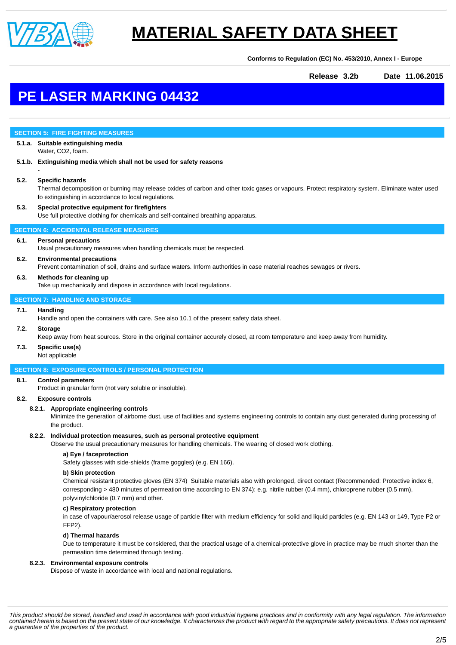

**Conforms to Regulation (EC) No. 453/2010, Annex I - Europe**

**Release 3.2b Date 11.06.2015**

## **PE LASER MARKING 04432**

#### **SECTION 5: FIRE FIGHTING MEASURES**

#### **5.1.a. Suitable extinguishing media** Water, CO2, foam.

**5.1.b. Extinguishing media which shall not be used for safety reasons**

#### **5.2. Specific hazards**

-

Thermal decomposition or burning may release oxides of carbon and other toxic gases or vapours. Protect respiratory system. Eliminate water used fo extinguishing in accordance to local regulations.

#### **5.3. Special protective equipment for firefighters** Use full protective clothing for chemicals and self-contained breathing apparatus.

#### **SECTION 6: ACCIDENTAL RELEASE MEASURES**

#### **6.1. Personal precautions**

Usual precautionary measures when handling chemicals must be respected.

#### **6.2. Environmental precautions**

Prevent contamination of soil, drains and surface waters. Inform authorities in case material reaches sewages or rivers.

#### **6.3. Methods for cleaning up**

Take up mechanically and dispose in accordance with local regulations.

#### **SECTION 7: HANDLING AND STORAGE**

#### **7.1. Handling**

Handle and open the containers with care. See also 10.1 of the present safety data sheet.

#### **7.2. Storage**

Keep away from heat sources. Store in the original container accurely closed, at room temperature and keep away from humidity.

### **7.3. Specific use(s)**

Not applicable

#### **SECTION 8: EXPOSURE CONTROLS / PERSONAL PROTECTION**

#### **8.1. Control parameters**

Product in granular form (not very soluble or insoluble).

#### **8.2. Exposure controls**

#### **8.2.1. Appropriate engineering controls**

Minimize the generation of airborne dust, use of facilities and systems engineering controls to contain any dust generated during processing of the product.

#### **8.2.2. Individual protection measures, such as personal protective equipment**

Observe the usual precautionary measures for handling chemicals. The wearing of closed work clothing.

#### **a) Eye / faceprotection**

Safety glasses with side-shields (frame goggles) (e.g. EN 166).

#### **b) Skin protection**

Chemical resistant protective gloves (EN 374) Suitable materials also with prolonged, direct contact (Recommended: Protective index 6, corresponding > 480 minutes of permeation time according to EN 374): e.g. nitrile rubber (0.4 mm), chloroprene rubber (0.5 mm), polyvinylchloride (0.7 mm) and other.

#### **c) Respiratory protection**

in case of vapour/aerosol release usage of particle filter with medium efficiency for solid and liquid particles (e.g. EN 143 or 149, Type P2 or FFP2).

#### **d) Thermal hazards**

Due to temperature it must be considered, that the practical usage of a chemical-protective glove in practice may be much shorter than the permeation time determined through testing.

#### **8.2.3. Environmental exposure controls**

Dispose of waste in accordance with local and national regulations.

*This product should be stored, handled and used in accordance with good industrial hygiene practices and in conformity with any legal regulation. The information contained herein is based on the present state of our knowledge. It characterizes the product with regard to the appropriate safety precautions. It does not represent a guarantee of the properties of the product.*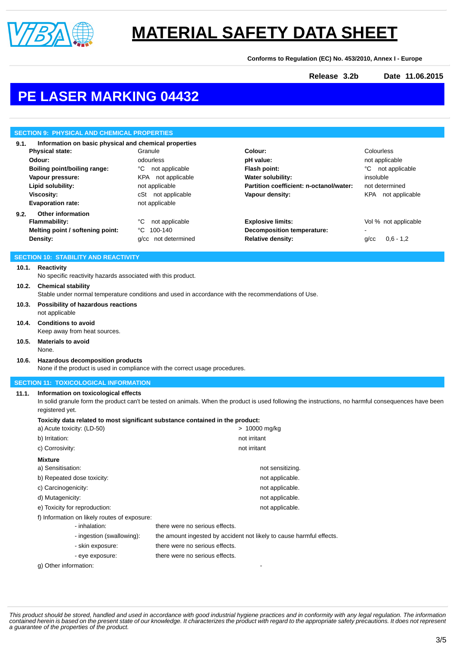

**Conforms to Regulation (EC) No. 453/2010, Annex I - Europe**

**Release 3.2b Date 11.06.2015**

## **PE LASER MARKING 04432**

|                                                               | <b>SECTION 9: PHYSICAL AND CHEMICAL PROPERTIES</b>                                                                                                   |                                      |                                                                      |                           |  |
|---------------------------------------------------------------|------------------------------------------------------------------------------------------------------------------------------------------------------|--------------------------------------|----------------------------------------------------------------------|---------------------------|--|
| Information on basic physical and chemical properties<br>9.1. |                                                                                                                                                      |                                      |                                                                      |                           |  |
|                                                               | <b>Physical state:</b>                                                                                                                               | Granule                              | Colour:                                                              | Colourless                |  |
|                                                               | Odour:                                                                                                                                               | odourless                            | pH value:                                                            | not applicable            |  |
|                                                               | <b>Boiling point/boiling range:</b>                                                                                                                  | °C not applicable                    | Flash point:                                                         | °C not applicable         |  |
|                                                               | Vapour pressure:                                                                                                                                     | KPA not applicable                   | <b>Water solubility:</b>                                             | insoluble                 |  |
|                                                               | Lipid solubility:                                                                                                                                    | not applicable                       | Partition coefficient: n-octanol/water:<br>Vapour density:           | not determined            |  |
|                                                               | <b>Viscosity:</b><br><b>Evaporation rate:</b>                                                                                                        | cSt not applicable<br>not applicable |                                                                      | KPA not applicable        |  |
| 9.2.                                                          | <b>Other information</b>                                                                                                                             |                                      |                                                                      |                           |  |
|                                                               | Flammability:                                                                                                                                        | not applicable<br>°C                 | <b>Explosive limits:</b>                                             | Vol % not applicable      |  |
|                                                               | Melting point / softening point:                                                                                                                     | 100-140<br>°C                        | Decomposition temperature:                                           |                           |  |
|                                                               | Density:                                                                                                                                             | g/cc not determined                  | <b>Relative density:</b>                                             | $0,6 - 1,2$<br>$g$ / $cc$ |  |
|                                                               | <b>SECTION 10: STABILITY AND REACTIVITY</b>                                                                                                          |                                      |                                                                      |                           |  |
| 10.1.                                                         | Reactivity                                                                                                                                           |                                      |                                                                      |                           |  |
|                                                               | No specific reactivity hazards associated with this product.                                                                                         |                                      |                                                                      |                           |  |
| 10.2.                                                         | <b>Chemical stability</b>                                                                                                                            |                                      |                                                                      |                           |  |
|                                                               | Stable under normal temperature conditions and used in accordance with the recommendations of Use.                                                   |                                      |                                                                      |                           |  |
| 10.3.                                                         | Possibility of hazardous reactions                                                                                                                   |                                      |                                                                      |                           |  |
|                                                               | not applicable                                                                                                                                       |                                      |                                                                      |                           |  |
| 10.4.                                                         | <b>Conditions to avoid</b>                                                                                                                           |                                      |                                                                      |                           |  |
|                                                               | Keep away from heat sources.                                                                                                                         |                                      |                                                                      |                           |  |
| 10.5.                                                         | <b>Materials to avoid</b><br>None.                                                                                                                   |                                      |                                                                      |                           |  |
| 10.6.                                                         | Hazardous decomposition products                                                                                                                     |                                      |                                                                      |                           |  |
|                                                               | None if the product is used in compliance with the correct usage procedures.                                                                         |                                      |                                                                      |                           |  |
|                                                               | <b>SECTION 11: TOXICOLOGICAL INFORMATION</b>                                                                                                         |                                      |                                                                      |                           |  |
| 11.1.                                                         | Information on toxicological effects                                                                                                                 |                                      |                                                                      |                           |  |
|                                                               | In solid granule form the product can't be tested on animals. When the product is used following the instructions, no harmful consequences have been |                                      |                                                                      |                           |  |
|                                                               | registered yet.                                                                                                                                      |                                      |                                                                      |                           |  |
|                                                               | Toxicity data related to most significant substance contained in the product:                                                                        |                                      |                                                                      |                           |  |
|                                                               | a) Acute toxicity: (LD-50)                                                                                                                           |                                      | > 10000 mg/kg                                                        |                           |  |
|                                                               | b) Irritation:                                                                                                                                       |                                      | not irritant                                                         |                           |  |
|                                                               | c) Corrosivity:                                                                                                                                      |                                      | not irritant                                                         |                           |  |
|                                                               | Mixture                                                                                                                                              |                                      |                                                                      |                           |  |
|                                                               | a) Sensitisation:                                                                                                                                    |                                      | not sensitizing.                                                     |                           |  |
|                                                               | b) Repeated dose toxicity:                                                                                                                           |                                      | not applicable.                                                      |                           |  |
|                                                               | c) Carcinogenicity:                                                                                                                                  |                                      | not applicable.                                                      |                           |  |
|                                                               | d) Mutagenicity:                                                                                                                                     |                                      | not applicable.                                                      |                           |  |
|                                                               | e) Toxicity for reproduction:                                                                                                                        |                                      | not applicable.                                                      |                           |  |
|                                                               | f) Information on likely routes of exposure:<br>- inhalation:                                                                                        | there were no serious effects.       |                                                                      |                           |  |
|                                                               | - ingestion (swallowing):                                                                                                                            |                                      | the amount ingested by accident not likely to cause harmful effects. |                           |  |
|                                                               | - skin exposure:                                                                                                                                     | there were no serious effects.       |                                                                      |                           |  |
|                                                               |                                                                                                                                                      | there were no serious effects.       |                                                                      |                           |  |
|                                                               | - eye exposure:<br>g) Other information:                                                                                                             |                                      |                                                                      |                           |  |
|                                                               |                                                                                                                                                      |                                      |                                                                      |                           |  |

This product should be stored, handled and used in accordance with good industrial hygiene practices and in conformity with any legal regulation. The information<br>contained herein is based on the present state of our knowle *a guarantee of the properties of the product.*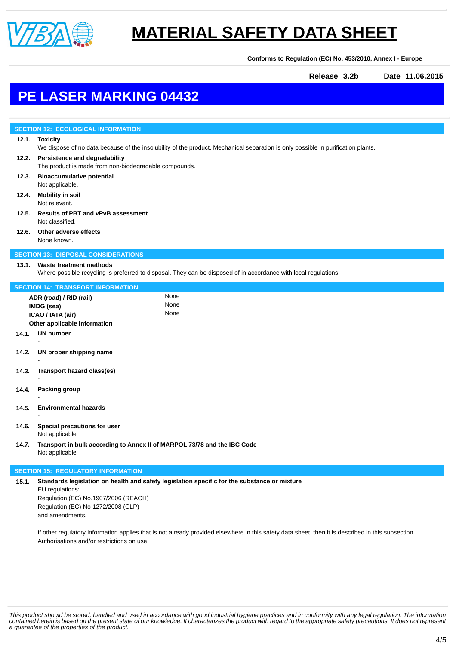

**Conforms to Regulation (EC) No. 453/2010, Annex I - Europe**

**Release 3.2b Date 11.06.2015**

## **PE LASER MARKING 04432**

|                                            | <b>SECTION 12: ECOLOGICAL INFORMATION</b>                                                                                                          |      |  |  |  |
|--------------------------------------------|----------------------------------------------------------------------------------------------------------------------------------------------------|------|--|--|--|
|                                            | 12.1. Toxicity<br>We dispose of no data because of the insolubility of the product. Mechanical separation is only possible in purification plants. |      |  |  |  |
|                                            | 12.2. Persistence and degradability<br>The product is made from non-biodegradable compounds.                                                       |      |  |  |  |
| 12.3.                                      | <b>Bioaccumulative potential</b><br>Not applicable.                                                                                                |      |  |  |  |
| 12.4.                                      | <b>Mobility in soil</b><br>Not relevant.                                                                                                           |      |  |  |  |
| 12.5.                                      | <b>Results of PBT and vPvB assessment</b><br>Not classified.                                                                                       |      |  |  |  |
|                                            | 12.6. Other adverse effects<br>None known.                                                                                                         |      |  |  |  |
| <b>SECTION 13: DISPOSAL CONSIDERATIONS</b> |                                                                                                                                                    |      |  |  |  |
| 13.1.                                      | <b>Waste treatment methods</b><br>Where possible recycling is preferred to disposal. They can be disposed of in accordance with local regulations. |      |  |  |  |
| <b>SECTION 14: TRANSPORT INFORMATION</b>   |                                                                                                                                                    |      |  |  |  |
| None<br>ADR (road) / RID (rail)            |                                                                                                                                                    |      |  |  |  |
| IMDG (sea)                                 |                                                                                                                                                    | None |  |  |  |
| ICAO / IATA (air)                          |                                                                                                                                                    | None |  |  |  |
| Other applicable information               |                                                                                                                                                    |      |  |  |  |
|                                            | 14.1. UN number                                                                                                                                    |      |  |  |  |
| 14.2.                                      | UN proper shipping name                                                                                                                            |      |  |  |  |
| 14.3.                                      | Transport hazard class(es)                                                                                                                         |      |  |  |  |
| 14.4.                                      | Packing group                                                                                                                                      |      |  |  |  |
| 14.5.                                      | <b>Environmental hazards</b>                                                                                                                       |      |  |  |  |
| 14.6.                                      | Special precautions for user<br>Not applicable                                                                                                     |      |  |  |  |
| 14.7.                                      | Transport in bulk according to Annex II of MARPOL 73/78 and the IBC Code<br>Not applicable                                                         |      |  |  |  |

#### **SECTION 15: REGULATORY INFORMATION**

**15.1. Standards legislation on health and safety legislation specific for the substance or mixture** EU regulations: Regulation (EC) No.1907/2006 (REACH) Regulation (EC) No 1272/2008 (CLP) and amendments.

If other regulatory information applies that is not already provided elsewhere in this safety data sheet, then it is described in this subsection. Authorisations and/or restrictions on use:

This product should be stored, handled and used in accordance with good industrial hygiene practices and in conformity with any legal regulation. The information<br>contained herein is based on the present state of our knowle *a guarantee of the properties of the product.*